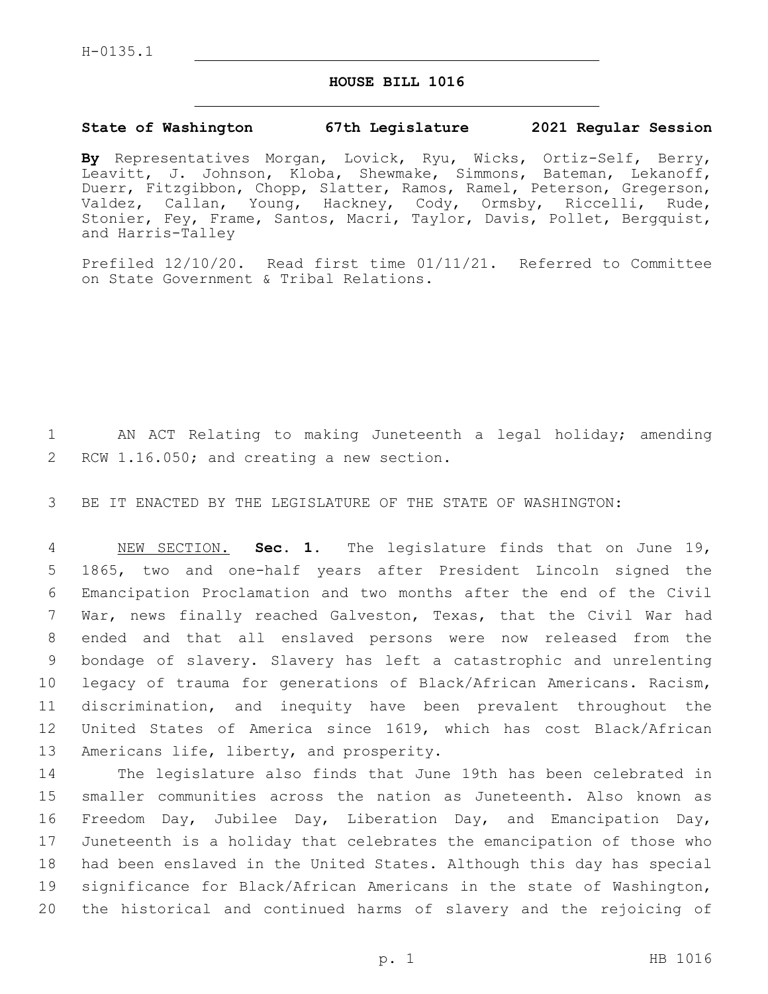## **HOUSE BILL 1016**

## **State of Washington 67th Legislature 2021 Regular Session**

**By** Representatives Morgan, Lovick, Ryu, Wicks, Ortiz-Self, Berry, Leavitt, J. Johnson, Kloba, Shewmake, Simmons, Bateman, Lekanoff, Duerr, Fitzgibbon, Chopp, Slatter, Ramos, Ramel, Peterson, Gregerson, Valdez, Callan, Young, Hackney, Cody, Ormsby, Riccelli, Rude, Stonier, Fey, Frame, Santos, Macri, Taylor, Davis, Pollet, Bergquist, and Harris-Talley

Prefiled 12/10/20. Read first time 01/11/21. Referred to Committee on State Government & Tribal Relations.

1 AN ACT Relating to making Juneteenth a legal holiday; amending 2 RCW 1.16.050; and creating a new section.

3 BE IT ENACTED BY THE LEGISLATURE OF THE STATE OF WASHINGTON:

 NEW SECTION. **Sec. 1.** The legislature finds that on June 19, 1865, two and one-half years after President Lincoln signed the Emancipation Proclamation and two months after the end of the Civil War, news finally reached Galveston, Texas, that the Civil War had ended and that all enslaved persons were now released from the bondage of slavery. Slavery has left a catastrophic and unrelenting legacy of trauma for generations of Black/African Americans. Racism, discrimination, and inequity have been prevalent throughout the United States of America since 1619, which has cost Black/African 13 Americans life, liberty, and prosperity.

 The legislature also finds that June 19th has been celebrated in smaller communities across the nation as Juneteenth. Also known as Freedom Day, Jubilee Day, Liberation Day, and Emancipation Day, Juneteenth is a holiday that celebrates the emancipation of those who had been enslaved in the United States. Although this day has special significance for Black/African Americans in the state of Washington, the historical and continued harms of slavery and the rejoicing of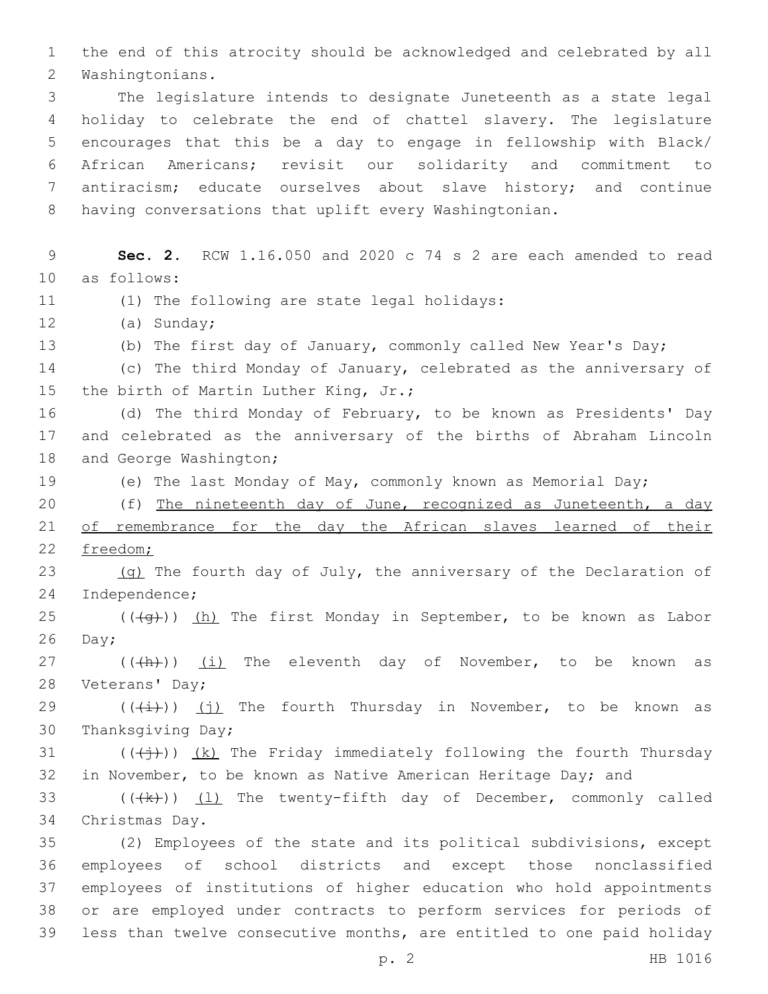1 the end of this atrocity should be acknowledged and celebrated by all 2 Washingtonians.

 The legislature intends to designate Juneteenth as a state legal holiday to celebrate the end of chattel slavery. The legislature encourages that this be a day to engage in fellowship with Black/ African Americans; revisit our solidarity and commitment to antiracism; educate ourselves about slave history; and continue having conversations that uplift every Washingtonian.

9 **Sec. 2.** RCW 1.16.050 and 2020 c 74 s 2 are each amended to read 10 as follows: 11 (1) The following are state legal holidays: 12 (a) Sunday; 13 (b) The first day of January, commonly called New Year's Day; 14 (c) The third Monday of January, celebrated as the anniversary of 15 the birth of Martin Luther King, Jr.; 16 (d) The third Monday of February, to be known as Presidents' Day 17 and celebrated as the anniversary of the births of Abraham Lincoln 18 and George Washington; 19 (e) The last Monday of May, commonly known as Memorial Day; 20 (f) The nineteenth day of June, recognized as Juneteenth, a day 21 of remembrance for the day the African slaves learned of their 22 freedom; 23 (g) The fourth day of July, the anniversary of the Declaration of 24 Independence; 25 ( $(\overline{+q})$ ) (h) The first Monday in September, to be known as Labor  $26$  Day; 27 (((h)) (i) The eleventh day of November, to be known as 28 Veterans' Day; 29  $((\overleftrightarrow{t}))(j)$  The fourth Thursday in November, to be known as 30 Thanksgiving Day; 31 ( $(\frac{1}{2})$ ) (k) The Friday immediately following the fourth Thursday 32 in November, to be known as Native American Heritage Day; and 33  $((\langle k \rangle)(1)$  The twenty-fifth day of December, commonly called 34 Christmas Day. 35 (2) Employees of the state and its political subdivisions, except 36 employees of school districts and except those nonclassified 37 employees of institutions of higher education who hold appointments 38 or are employed under contracts to perform services for periods of 39 less than twelve consecutive months, are entitled to one paid holiday

p. 2 HB 1016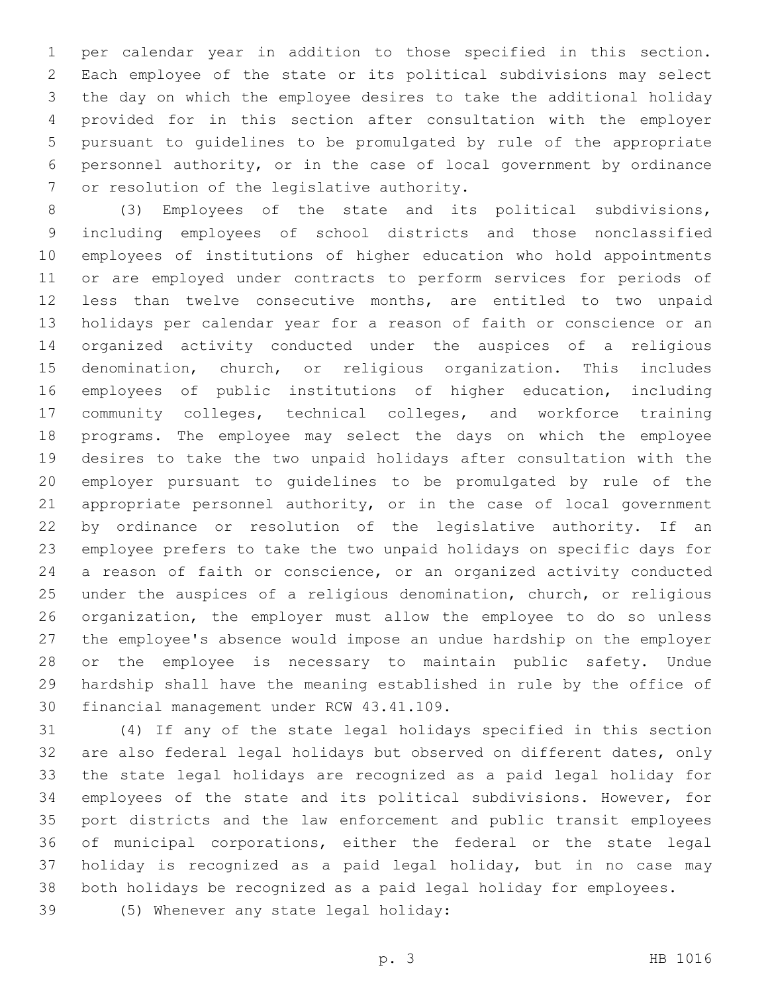per calendar year in addition to those specified in this section. Each employee of the state or its political subdivisions may select the day on which the employee desires to take the additional holiday provided for in this section after consultation with the employer pursuant to guidelines to be promulgated by rule of the appropriate personnel authority, or in the case of local government by ordinance 7 or resolution of the legislative authority.

 (3) Employees of the state and its political subdivisions, including employees of school districts and those nonclassified employees of institutions of higher education who hold appointments or are employed under contracts to perform services for periods of less than twelve consecutive months, are entitled to two unpaid holidays per calendar year for a reason of faith or conscience or an organized activity conducted under the auspices of a religious denomination, church, or religious organization. This includes employees of public institutions of higher education, including community colleges, technical colleges, and workforce training programs. The employee may select the days on which the employee desires to take the two unpaid holidays after consultation with the employer pursuant to guidelines to be promulgated by rule of the appropriate personnel authority, or in the case of local government by ordinance or resolution of the legislative authority. If an employee prefers to take the two unpaid holidays on specific days for a reason of faith or conscience, or an organized activity conducted under the auspices of a religious denomination, church, or religious organization, the employer must allow the employee to do so unless the employee's absence would impose an undue hardship on the employer or the employee is necessary to maintain public safety. Undue hardship shall have the meaning established in rule by the office of 30 financial management under RCW 43.41.109.

 (4) If any of the state legal holidays specified in this section are also federal legal holidays but observed on different dates, only the state legal holidays are recognized as a paid legal holiday for employees of the state and its political subdivisions. However, for port districts and the law enforcement and public transit employees of municipal corporations, either the federal or the state legal holiday is recognized as a paid legal holiday, but in no case may both holidays be recognized as a paid legal holiday for employees.

(5) Whenever any state legal holiday:39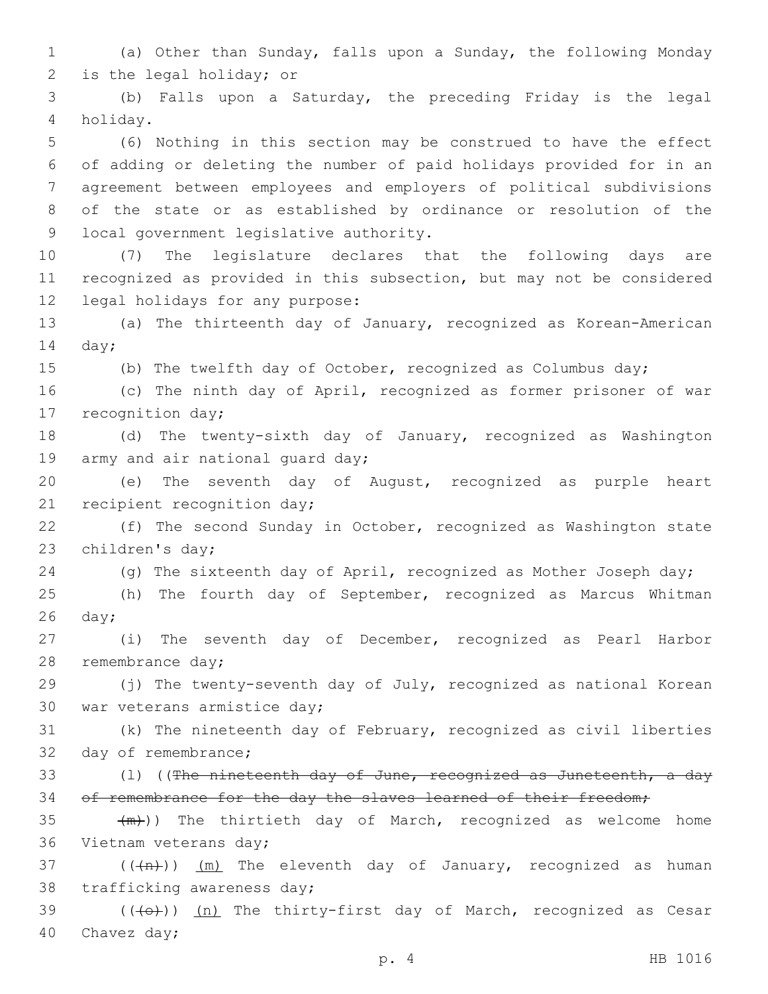1 (a) Other than Sunday, falls upon a Sunday, the following Monday 2 is the legal holiday; or

3 (b) Falls upon a Saturday, the preceding Friday is the legal holiday.4

 (6) Nothing in this section may be construed to have the effect of adding or deleting the number of paid holidays provided for in an agreement between employees and employers of political subdivisions of the state or as established by ordinance or resolution of the 9 local government legislative authority.

10 (7) The legislature declares that the following days are 11 recognized as provided in this subsection, but may not be considered 12 legal holidays for any purpose:

13 (a) The thirteenth day of January, recognized as Korean-American 14 day;

15 (b) The twelfth day of October, recognized as Columbus day;

16 (c) The ninth day of April, recognized as former prisoner of war 17 recognition day;

18 (d) The twenty-sixth day of January, recognized as Washington 19 army and air national quard day;

20 (e) The seventh day of August, recognized as purple heart 21 recipient recognition day;

22 (f) The second Sunday in October, recognized as Washington state 23 children's day;

24 (g) The sixteenth day of April, recognized as Mother Joseph day;

25 (h) The fourth day of September, recognized as Marcus Whitman  $26$  day;

27 (i) The seventh day of December, recognized as Pearl Harbor 28 remembrance day;

29 (j) The twenty-seventh day of July, recognized as national Korean 30 war veterans armistice day;

31 (k) The nineteenth day of February, recognized as civil liberties 32 day of remembrance;

33 (1) ((The nineteenth day of June, recognized as Juneteenth, a day 34 of remembrance for the day the slaves learned of their freedom;

35  $+m)$ ) The thirtieth day of March, recognized as welcome home 36 Vietnam veterans day;

37 ( $(\overline{+n})$ )  $(m)$  The eleventh day of January, recognized as human 38 trafficking awareness day;

39 (((+))) (n) The thirty-first day of March, recognized as Cesar 40 Chavez day;